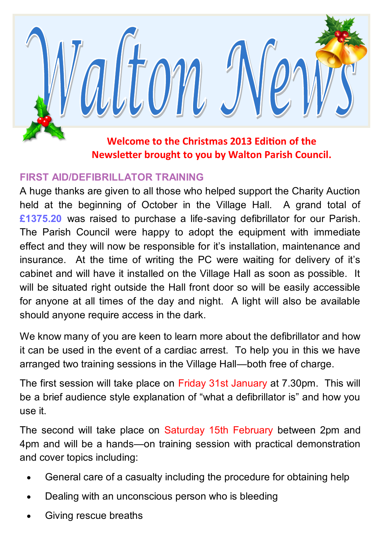

### **FIRST AID/DEFIBRILLATOR TRAINING**

A huge thanks are given to all those who helped support the Charity Auction held at the beginning of October in the Village Hall. A grand total of **£1375.20** was raised to purchase a life-saving defibrillator for our Parish. The Parish Council were happy to adopt the equipment with immediate effect and they will now be responsible for it's installation, maintenance and insurance. At the time of writing the PC were waiting for delivery of it's cabinet and will have it installed on the Village Hall as soon as possible. It will be situated right outside the Hall front door so will be easily accessible for anyone at all times of the day and night. A light will also be available should anyone require access in the dark.

We know many of you are keen to learn more about the defibrillator and how it can be used in the event of a cardiac arrest. To help you in this we have arranged two training sessions in the Village Hall—both free of charge.

The first session will take place on Friday 31st January at 7.30pm. This will be a brief audience style explanation of "what a defibrillator is" and how you use it.

The second will take place on Saturday 15th February between 2pm and 4pm and will be a hands—on training session with practical demonstration and cover topics including:

- General care of a casualty including the procedure for obtaining help
- Dealing with an unconscious person who is bleeding
- Giving rescue breaths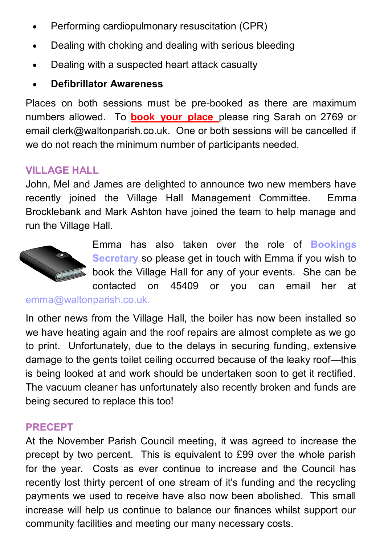- Performing cardiopulmonary resuscitation (CPR)
- Dealing with choking and dealing with serious bleeding
- Dealing with a suspected heart attack casualty
- **Defibrillator Awareness**

Places on both sessions must be pre-booked as there are maximum numbers allowed. To **book your place** please ring Sarah on 2769 or email clerk@waltonparish.co.uk. One or both sessions will be cancelled if we do not reach the minimum number of participants needed.

# **VILLAGE HALL**

John, Mel and James are delighted to announce two new members have recently joined the Village Hall Management Committee. Emma Brocklebank and Mark Ashton have joined the team to help manage and run the Village Hall.



Emma has also taken over the role of **Bookings Secretary** so please get in touch with Emma if you wish to book the Village Hall for any of your events. She can be contacted on 45409 or you can email her at

emma@waltonparish.co.uk.

In other news from the Village Hall, the boiler has now been installed so we have heating again and the roof repairs are almost complete as we go to print. Unfortunately, due to the delays in securing funding, extensive damage to the gents toilet ceiling occurred because of the leaky roof—this is being looked at and work should be undertaken soon to get it rectified. The vacuum cleaner has unfortunately also recently broken and funds are being secured to replace this too!

# **PRECEPT**

At the November Parish Council meeting, it was agreed to increase the precept by two percent. This is equivalent to £99 over the whole parish for the year. Costs as ever continue to increase and the Council has recently lost thirty percent of one stream of it's funding and the recycling payments we used to receive have also now been abolished. This small increase will help us continue to balance our finances whilst support our community facilities and meeting our many necessary costs.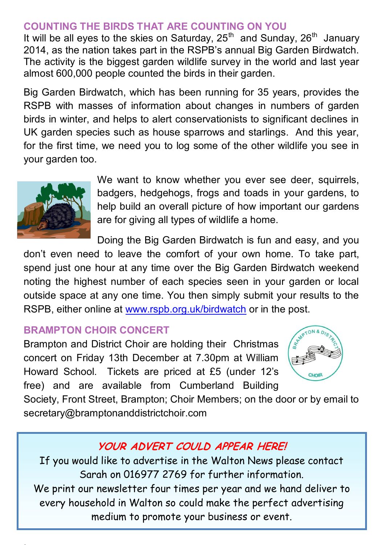### **COUNTING THE BIRDS THAT ARE COUNTING ON YOU**

It will be all eyes to the skies on Saturday,  $25<sup>th</sup>$  and Sunday,  $26<sup>th</sup>$  January 2014, as the nation takes part in the RSPB's annual Big Garden Birdwatch. The activity is the biggest garden wildlife survey in the world and last year almost 600,000 people counted the birds in their garden.

Big Garden Birdwatch, which has been running for 35 years, provides the RSPB with masses of information about changes in numbers of garden birds in winter, and helps to alert conservationists to significant declines in UK garden species such as house sparrows and starlings. And this year, for the first time, we need you to log some of the other wildlife you see in your garden too.



We want to know whether you ever see deer, squirrels, badgers, hedgehogs, frogs and toads in your gardens, to help build an overall picture of how important our gardens are for giving all types of wildlife a home.

Doing the Big Garden Birdwatch is fun and easy, and you

don't even need to leave the comfort of your own home. To take part, spend just one hour at any time over the Big Garden Birdwatch weekend noting the highest number of each species seen in your garden or local outside space at any one time. You then simply submit your results to the RSPB, either online at [www.rspb.org.uk/birdwatch](http://www.rspb.org.uk/birdwatch) or in the post.

#### **BRAMPTON CHOIR CONCERT**

Brampton and District Choir are holding their Christmas concert on Friday 13th December at 7.30pm at William Howard School. Tickets are priced at £5 (under 12's free) and are available from Cumberland Building



Society, Front Street, Brampton; Choir Members; on the door or by email to secretary@bramptonanddistrictchoir.com

# **YOUR ADVERT COULD APPEAR HERE!**

If you would like to advertise in the Walton News please contact Sarah on 016977 2769 for further information. We print our newsletter four times per year and we hand deliver to every household in Walton so could make the perfect advertising medium to promote your business or event.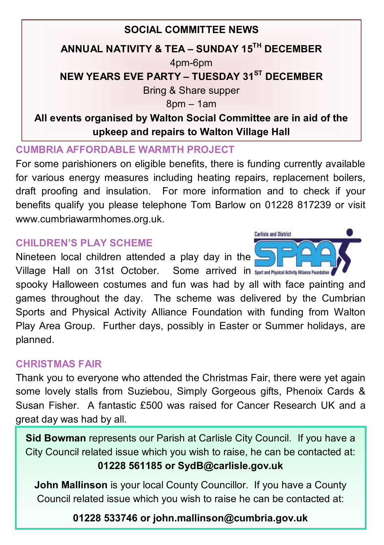# **SOCIAL COMMITTEE NEWS ANNUAL NATIVITY & TEA – SUNDAY 15TH DECEMBER**  4pm-6pm **NEW YEARS EVE PARTY – TUESDAY 31ST DECEMBER** Bring & Share supper 8pm – 1am **All events organised by Walton Social Committee are in aid of the upkeep and repairs to Walton Village Hall**

#### **CUMBRIA AFFORDABLE WARMTH PROJECT**

For some parishioners on eligible benefits, there is funding currently available for various energy measures including heating repairs, replacement boilers, draft proofing and insulation. For more information and to check if your benefits qualify you please telephone Tom Barlow on 01228 817239 or visit www.cumbriawarmhomes.org.uk.

**Carlisle and District** 

### **CHILDREN'S PLAY SCHEME**

Nineteen local children attended a play day in the Village Hall on 31st October. Some arrived in Supersiand Physical Activity Alliance Foundation

spooky Halloween costumes and fun was had by all with face painting and games throughout the day. The scheme was delivered by the Cumbrian Sports and Physical Activity Alliance Foundation with funding from Walton Play Area Group. Further days, possibly in Easter or Summer holidays, are planned.

### **CHRISTMAS FAIR**

Thank you to everyone who attended the Christmas Fair, there were yet again some lovely stalls from Suziebou, Simply Gorgeous gifts, Phenoix Cards & Susan Fisher. A fantastic £500 was raised for Cancer Research UK and a great day was had by all.

**Sid Bowman** represents our Parish at Carlisle City Council. If you have a City Council related issue which you wish to raise, he can be contacted at: **01228 561185 or SydB@carlisle.gov.uk**

**John Mallinson** is your local County Councillor. If you have a County Council related issue which you wish to raise he can be contacted at:

# **01228 533746 or john.mallinson@cumbria.gov.uk**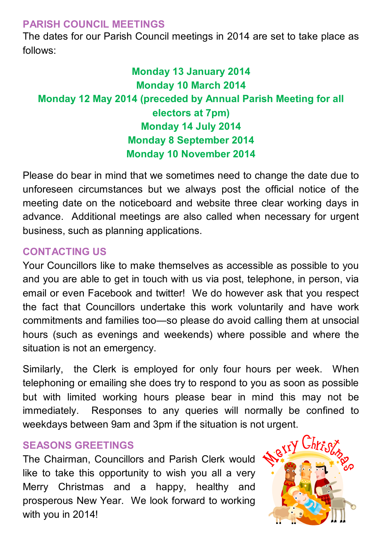#### **PARISH COUNCIL MEETINGS**

The dates for our Parish Council meetings in 2014 are set to take place as follows:

# **Monday 13 January 2014 Monday 10 March 2014 Monday 12 May 2014 (preceded by Annual Parish Meeting for all electors at 7pm) Monday 14 July 2014 Monday 8 September 2014 Monday 10 November 2014**

Please do bear in mind that we sometimes need to change the date due to unforeseen circumstances but we always post the official notice of the meeting date on the noticeboard and website three clear working days in advance. Additional meetings are also called when necessary for urgent business, such as planning applications.

### **CONTACTING US**

Your Councillors like to make themselves as accessible as possible to you and you are able to get in touch with us via post, telephone, in person, via email or even Facebook and twitter! We do however ask that you respect the fact that Councillors undertake this work voluntarily and have work commitments and families too—so please do avoid calling them at unsocial hours (such as evenings and weekends) where possible and where the situation is not an emergency.

Similarly, the Clerk is employed for only four hours per week. When telephoning or emailing she does try to respond to you as soon as possible but with limited working hours please bear in mind this may not be immediately. Responses to any queries will normally be confined to weekdays between 9am and 3pm if the situation is not urgent.<br>SEASONS GREETINGS<br>The Chairman Councillors 50 15

#### **SEASONS GREETINGS**

The Chairman, Councillors and Parish Clerk would like to take this opportunity to wish you all a very Merry Christmas and a happy, healthy and prosperous New Year. We look forward to working with you in 2014!

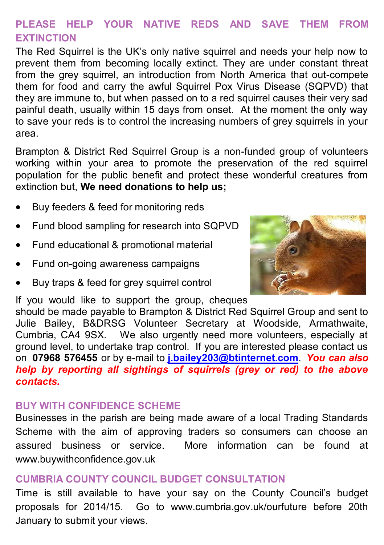# **PLEASE HELP YOUR NATIVE REDS AND SAVE THEM FROM EXTINCTION**

The Red Squirrel is the UK's only native squirrel and needs your help now to prevent them from becoming locally extinct. They are under constant threat from the grey squirrel, an introduction from North America that out-compete them for food and carry the awful Squirrel Pox Virus Disease (SQPVD) that they are immune to, but when passed on to a red squirrel causes their very sad painful death, usually within 15 days from onset. At the moment the only way to save your reds is to control the increasing numbers of grey squirrels in your area.

Brampton & District Red Squirrel Group is a non-funded group of volunteers working within your area to promote the preservation of the red squirrel population for the public benefit and protect these wonderful creatures from extinction but, **We need donations to help us;**

- Buy feeders & feed for monitoring reds
- Fund blood sampling for research into SQPVD
- Fund educational & promotional material
- Fund on-going awareness campaigns
- Buy traps & feed for grey squirrel control

If you would like to support the group, cheques



should be made payable to Brampton & District Red Squirrel Group and sent to Julie Bailey, B&DRSG Volunteer Secretary at Woodside, Armathwaite, Cumbria, CA4 9SX. We also urgently need more volunteers, especially at ground level, to undertake trap control. If you are interested please contact us on **07968 576455** or by e-mail to **[j.bailey203@btinternet.com](mailto:j.bailey203@btinternet.com)**. *You can also help by reporting all sightings of squirrels (grey or red) to the above contacts.*

#### **BUY WITH CONFIDENCE SCHEME**

Businesses in the parish are being made aware of a local Trading Standards Scheme with the aim of approving traders so consumers can choose an assured business or service. More information can be found at www.buywithconfidence.gov.uk

### **CUMBRIA COUNTY COUNCIL BUDGET CONSULTATION**

Time is still available to have your say on the County Council's budget proposals for 2014/15. Go to www.cumbria.gov.uk/ourfuture before 20th January to submit your views.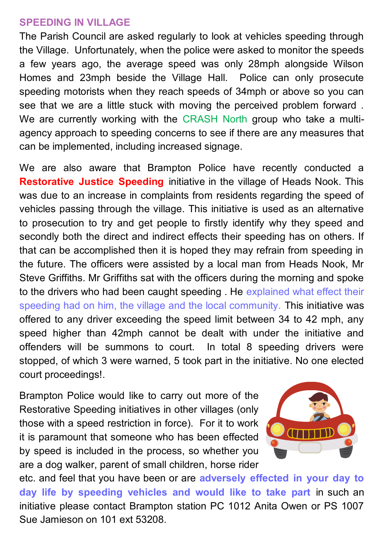#### **SPEEDING IN VILLAGE**

The Parish Council are asked regularly to look at vehicles speeding through the Village. Unfortunately, when the police were asked to monitor the speeds a few years ago, the average speed was only 28mph alongside Wilson Homes and 23mph beside the Village Hall. Police can only prosecute speeding motorists when they reach speeds of 34mph or above so you can see that we are a little stuck with moving the perceived problem forward . We are currently working with the CRASH North group who take a multiagency approach to speeding concerns to see if there are any measures that can be implemented, including increased signage.

We are also aware that Brampton Police have recently conducted a **Restorative Justice Speeding** initiative in the village of Heads Nook. This was due to an increase in complaints from residents regarding the speed of vehicles passing through the village. This initiative is used as an alternative to prosecution to try and get people to firstly identify why they speed and secondly both the direct and indirect effects their speeding has on others. If that can be accomplished then it is hoped they may refrain from speeding in the future. The officers were assisted by a local man from Heads Nook, Mr Steve Griffiths. Mr Griffiths sat with the officers during the morning and spoke to the drivers who had been caught speeding . He explained what effect their speeding had on him, the village and the local community. This initiative was offered to any driver exceeding the speed limit between 34 to 42 mph, any speed higher than 42mph cannot be dealt with under the initiative and offenders will be summons to court. In total 8 speeding drivers were stopped, of which 3 were warned, 5 took part in the initiative. No one elected court proceedings!.

Brampton Police would like to carry out more of the Restorative Speeding initiatives in other villages (only those with a speed restriction in force). For it to work it is paramount that someone who has been effected by speed is included in the process, so whether you are a dog walker, parent of small children, horse rider



etc. and feel that you have been or are **adversely effected in your day to day life by speeding vehicles and would like to take part** in such an initiative please contact Brampton station PC 1012 Anita Owen or PS 1007 Sue Jamieson on 101 ext 53208.